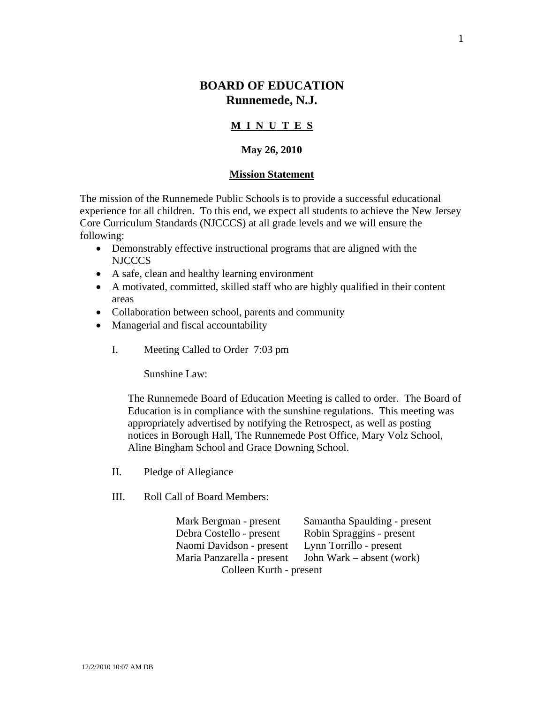# **BOARD OF EDUCATION Runnemede, N.J.**

## **M I N U T E S**

## **May 26, 2010**

#### **Mission Statement**

The mission of the Runnemede Public Schools is to provide a successful educational experience for all children. To this end, we expect all students to achieve the New Jersey Core Curriculum Standards (NJCCCS) at all grade levels and we will ensure the following:

- Demonstrably effective instructional programs that are aligned with the NJCCCS
- A safe, clean and healthy learning environment
- A motivated, committed, skilled staff who are highly qualified in their content areas
- Collaboration between school, parents and community
- Managerial and fiscal accountability
	- I. Meeting Called to Order 7:03 pm

Sunshine Law:

The Runnemede Board of Education Meeting is called to order. The Board of Education is in compliance with the sunshine regulations. This meeting was appropriately advertised by notifying the Retrospect, as well as posting notices in Borough Hall, The Runnemede Post Office, Mary Volz School, Aline Bingham School and Grace Downing School.

- II. Pledge of Allegiance
- III. Roll Call of Board Members:

 Mark Bergman - present Samantha Spaulding - present Debra Costello - present Robin Spraggins - present Naomi Davidson - present Lynn Torrillo - present Maria Panzarella - present John Wark – absent (work) Colleen Kurth - present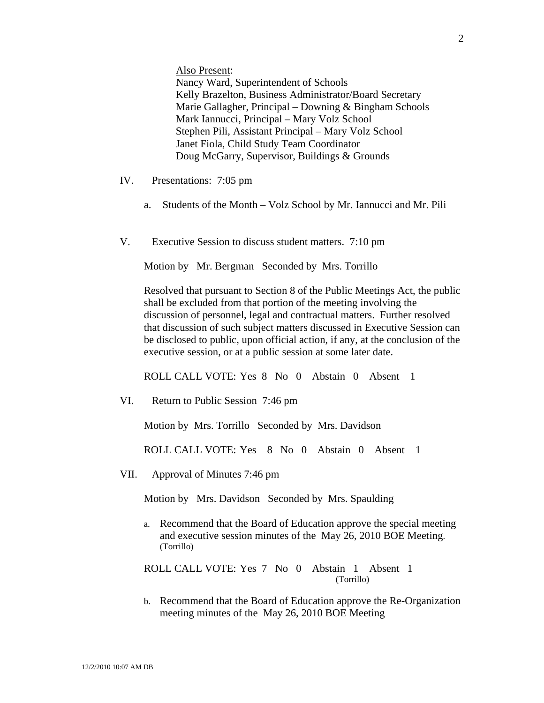Also Present:

Nancy Ward, Superintendent of Schools Kelly Brazelton, Business Administrator/Board Secretary Marie Gallagher, Principal – Downing & Bingham Schools Mark Iannucci, Principal – Mary Volz School Stephen Pili, Assistant Principal – Mary Volz School Janet Fiola, Child Study Team Coordinator Doug McGarry, Supervisor, Buildings & Grounds

- IV. Presentations: 7:05 pm
	- a. Students of the Month Volz School by Mr. Iannucci and Mr. Pili
- V. Executive Session to discuss student matters. 7:10 pm

Motion by Mr. Bergman Seconded by Mrs. Torrillo

Resolved that pursuant to Section 8 of the Public Meetings Act, the public shall be excluded from that portion of the meeting involving the discussion of personnel, legal and contractual matters. Further resolved that discussion of such subject matters discussed in Executive Session can be disclosed to public, upon official action, if any, at the conclusion of the executive session, or at a public session at some later date.

ROLL CALL VOTE: Yes 8 No 0 Abstain 0 Absent 1

VI. Return to Public Session 7:46 pm

Motion by Mrs. Torrillo Seconded by Mrs. Davidson

ROLL CALL VOTE: Yes 8 No 0 Abstain 0 Absent 1

VII. Approval of Minutes 7:46 pm

Motion by Mrs. Davidson Seconded by Mrs. Spaulding

a. Recommend that the Board of Education approve the special meeting and executive session minutes of the May 26, 2010 BOE Meeting. (Torrillo)

ROLL CALL VOTE: Yes 7 No 0 Abstain 1 Absent 1 (Torrillo)

b. Recommend that the Board of Education approve the Re-Organization meeting minutes of the May 26, 2010 BOE Meeting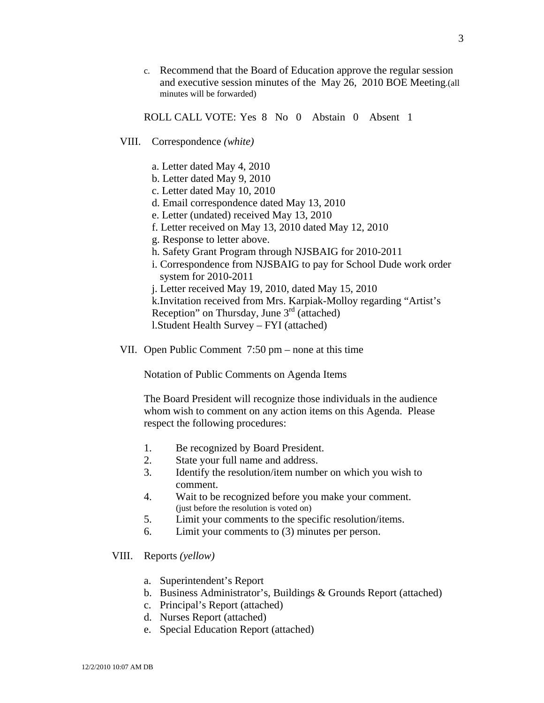c. Recommend that the Board of Education approve the regular session and executive session minutes of the May 26, 2010 BOE Meeting.(all minutes will be forwarded)

ROLL CALL VOTE: Yes 8 No 0 Abstain 0 Absent 1

- VIII. Correspondence *(white)* 
	- a. Letter dated May 4, 2010
	- b. Letter dated May 9, 2010
	- c. Letter dated May 10, 2010
	- d. Email correspondence dated May 13, 2010
	- e. Letter (undated) received May 13, 2010
	- f. Letter received on May 13, 2010 dated May 12, 2010
	- g. Response to letter above.
	- h. Safety Grant Program through NJSBAIG for 2010-2011
	- i. Correspondence from NJSBAIG to pay for School Dude work order system for 2010-2011
	- j. Letter received May 19, 2010, dated May 15, 2010
	- k.Invitation received from Mrs. Karpiak-Molloy regarding "Artist's Reception" on Thursday, June  $3<sup>rd</sup>$  (attached)
	- l.Student Health Survey FYI (attached)
- VII. Open Public Comment 7:50 pm none at this time

Notation of Public Comments on Agenda Items

The Board President will recognize those individuals in the audience whom wish to comment on any action items on this Agenda. Please respect the following procedures:

- 1. Be recognized by Board President.
- 2. State your full name and address.
- 3. Identify the resolution/item number on which you wish to comment.
- 4. Wait to be recognized before you make your comment. (just before the resolution is voted on)
- 5. Limit your comments to the specific resolution/items.
- 6. Limit your comments to (3) minutes per person.
- VIII. Reports *(yellow)* 
	- a. Superintendent's Report
	- b. Business Administrator's, Buildings & Grounds Report (attached)
	- c. Principal's Report (attached)
	- d. Nurses Report (attached)
	- e. Special Education Report (attached)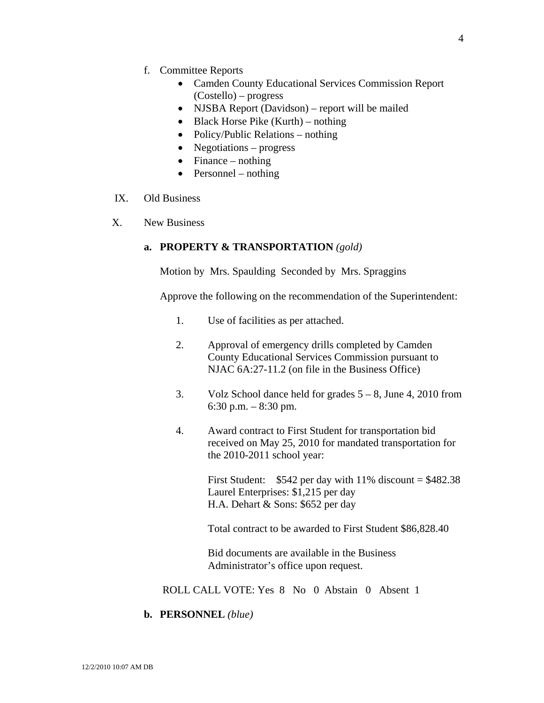- f. Committee Reports
	- Camden County Educational Services Commission Report (Costello) – progress
	- NJSBA Report (Davidson) report will be mailed
	- Black Horse Pike (Kurth) nothing
	- Policy/Public Relations nothing
	- Negotiations progress
	- Finance nothing
	- Personnel nothing
- IX. Old Business
- X. New Business

## **a. PROPERTY & TRANSPORTATION** *(gold)*

Motion by Mrs. Spaulding Seconded by Mrs. Spraggins

Approve the following on the recommendation of the Superintendent:

- 1. Use of facilities as per attached.
- 2. Approval of emergency drills completed by Camden County Educational Services Commission pursuant to NJAC 6A:27-11.2 (on file in the Business Office)
- 3. Volz School dance held for grades 5 8, June 4, 2010 from 6:30 p.m. – 8:30 pm.
- 4. Award contract to First Student for transportation bid received on May 25, 2010 for mandated transportation for the 2010-2011 school year:

First Student:  $$542$  per day with 11% discount = \$482.38 Laurel Enterprises: \$1,215 per day H.A. Dehart & Sons: \$652 per day

Total contract to be awarded to First Student \$86,828.40

 Bid documents are available in the Business Administrator's office upon request.

ROLL CALL VOTE: Yes 8 No 0 Abstain 0 Absent 1

**b. PERSONNEL** *(blue)*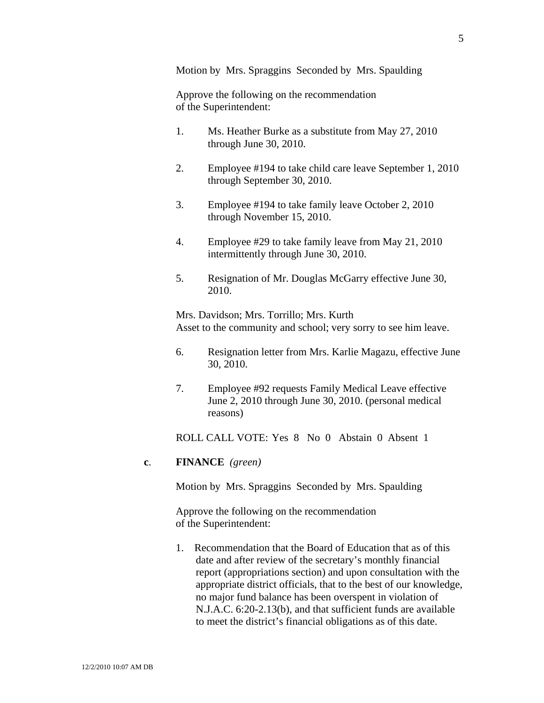Motion by Mrs. Spraggins Seconded by Mrs. Spaulding

 Approve the following on the recommendation of the Superintendent:

- 1. Ms. Heather Burke as a substitute from May 27, 2010 through June 30, 2010.
- 2. Employee #194 to take child care leave September 1, 2010 through September 30, 2010.
- 3. Employee #194 to take family leave October 2, 2010 through November 15, 2010.
- 4. Employee #29 to take family leave from May 21, 2010 intermittently through June 30, 2010.
- 5. Resignation of Mr. Douglas McGarry effective June 30, 2010.

Mrs. Davidson; Mrs. Torrillo; Mrs. Kurth Asset to the community and school; very sorry to see him leave.

- 6. Resignation letter from Mrs. Karlie Magazu, effective June 30, 2010.
- 7. Employee #92 requests Family Medical Leave effective June 2, 2010 through June 30, 2010. (personal medical reasons)

ROLL CALL VOTE: Yes 8 No 0 Abstain 0 Absent 1

#### **c**. **FINANCE** *(green)*

Motion by Mrs. Spraggins Seconded by Mrs. Spaulding

Approve the following on the recommendation of the Superintendent:

1. Recommendation that the Board of Education that as of this date and after review of the secretary's monthly financial report (appropriations section) and upon consultation with the appropriate district officials, that to the best of our knowledge, no major fund balance has been overspent in violation of N.J.A.C. 6:20-2.13(b), and that sufficient funds are available to meet the district's financial obligations as of this date.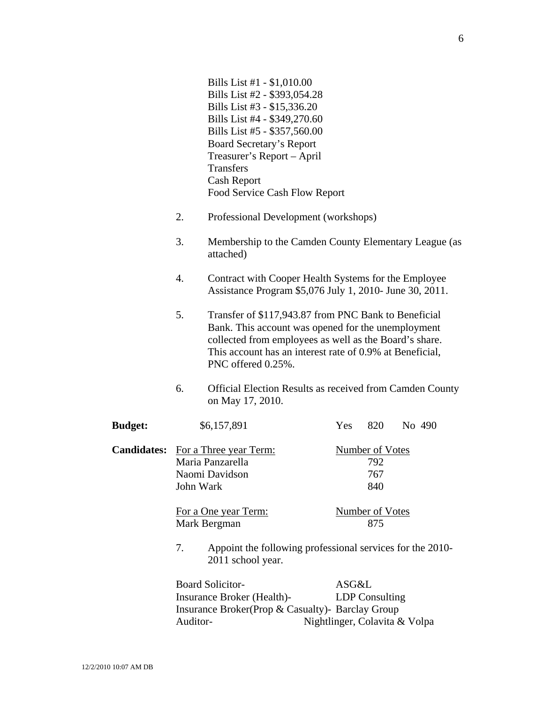|                    |                                                                                      | Bills List #1 - \$1,010.00<br>Bills List #2 - \$393,054.28<br>Bills List #3 - \$15,336.20<br>Bills List #4 - \$349,270.60<br>Bills List #5 - \$357,560.00<br><b>Board Secretary's Report</b><br>Treasurer's Report - April<br><b>Transfers</b><br><b>Cash Report</b><br>Food Service Cash Flow Report |  |                                             |                                                        |  |        |
|--------------------|--------------------------------------------------------------------------------------|-------------------------------------------------------------------------------------------------------------------------------------------------------------------------------------------------------------------------------------------------------------------------------------------------------|--|---------------------------------------------|--------------------------------------------------------|--|--------|
|                    | 2.                                                                                   | Professional Development (workshops)                                                                                                                                                                                                                                                                  |  |                                             |                                                        |  |        |
|                    | 3.                                                                                   | Membership to the Camden County Elementary League (as<br>attached)                                                                                                                                                                                                                                    |  |                                             |                                                        |  |        |
|                    | 4.                                                                                   | Contract with Cooper Health Systems for the Employee<br>Assistance Program \$5,076 July 1, 2010- June 30, 2011.                                                                                                                                                                                       |  |                                             |                                                        |  |        |
|                    | 5.                                                                                   | Transfer of \$117,943.87 from PNC Bank to Beneficial<br>Bank. This account was opened for the unemployment<br>collected from employees as well as the Board's share.<br>This account has an interest rate of 0.9% at Beneficial,<br>PNC offered 0.25%.                                                |  |                                             |                                                        |  |        |
|                    | 6.                                                                                   | <b>Official Election Results as received from Camden County</b><br>on May 17, 2010.                                                                                                                                                                                                                   |  |                                             |                                                        |  |        |
| <b>Budget:</b>     |                                                                                      | \$6,157,891                                                                                                                                                                                                                                                                                           |  | Yes                                         | 820                                                    |  | No 490 |
| <b>Candidates:</b> |                                                                                      | For a Three year Term:<br>Maria Panzarella<br>Naomi Davidson<br>John Wark                                                                                                                                                                                                                             |  | <b>Number of Votes</b><br>792<br>767<br>840 |                                                        |  |        |
|                    | For a One year Term:<br>Mark Bergman                                                 |                                                                                                                                                                                                                                                                                                       |  | <b>Number of Votes</b><br>875               |                                                        |  |        |
|                    | 7.<br>Appoint the following professional services for the 2010-<br>2011 school year. |                                                                                                                                                                                                                                                                                                       |  |                                             |                                                        |  |        |
|                    | Auditor-                                                                             | <b>Board Solicitor-</b><br>Insurance Broker (Health)-<br>Insurance Broker(Prop & Casualty)- Barclay Group                                                                                                                                                                                             |  | ASG&L                                       | <b>LDP</b> Consulting<br>Nightlinger, Colavita & Volpa |  |        |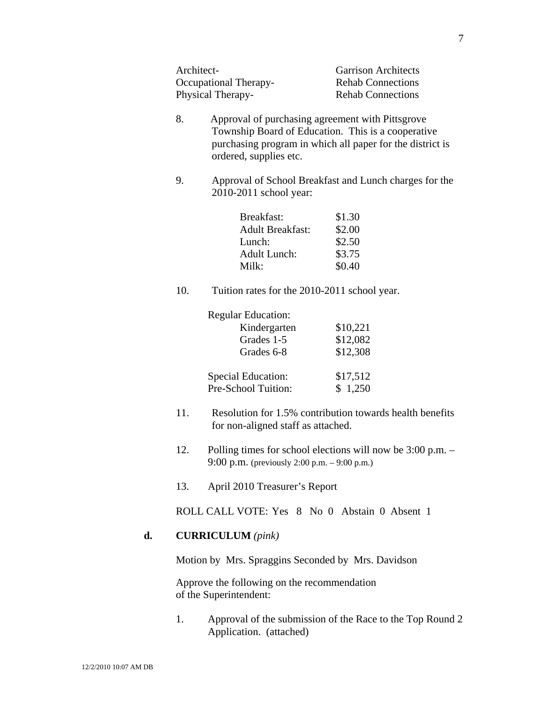| Architect-            | <b>Garrison Architects</b> |
|-----------------------|----------------------------|
| Occupational Therapy- | <b>Rehab Connections</b>   |
| Physical Therapy-     | <b>Rehab Connections</b>   |

- 8. Approval of purchasing agreement with Pittsgrove Township Board of Education. This is a cooperative purchasing program in which all paper for the district is ordered, supplies etc.
- 9. Approval of School Breakfast and Lunch charges for the 2010-2011 school year:

| Breakfast:              | \$1.30 |
|-------------------------|--------|
| <b>Adult Breakfast:</b> | \$2.00 |
| Lunch:                  | \$2.50 |
| Adult Lunch:            | \$3.75 |
| Milk:                   | \$0.40 |

10. Tuition rates for the 2010-2011 school year.

| <b>Regular Education:</b> |          |
|---------------------------|----------|
| Kindergarten              | \$10,221 |
| Grades 1-5                | \$12,082 |
| Grades 6-8                | \$12,308 |
| <b>Special Education:</b> | \$17,512 |
| Pre-School Tuition:       | \$1,250  |

- 11. Resolution for 1.5% contribution towards health benefits for non-aligned staff as attached.
- 12. Polling times for school elections will now be 3:00 p.m. 9:00 p.m. (previously 2:00 p.m. – 9:00 p.m.)
- 13. April 2010 Treasurer's Report

ROLL CALL VOTE: Yes 8 No 0 Abstain 0 Absent 1

#### **d. CURRICULUM** *(pink)*

Motion by Mrs. Spraggins Seconded by Mrs. Davidson

Approve the following on the recommendation of the Superintendent:

1. Approval of the submission of the Race to the Top Round 2 Application. (attached)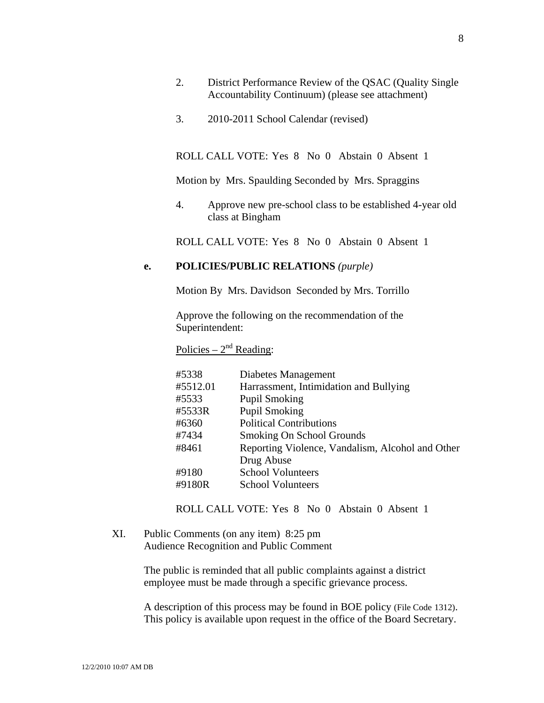- 2. District Performance Review of the QSAC (Quality Single Accountability Continuum) (please see attachment)
- 3. 2010-2011 School Calendar (revised)

ROLL CALL VOTE: Yes 8 No 0 Abstain 0 Absent 1

Motion by Mrs. Spaulding Seconded by Mrs. Spraggins

4. Approve new pre-school class to be established 4-year old class at Bingham

ROLL CALL VOTE: Yes 8 No 0 Abstain 0 Absent 1

#### **e. POLICIES/PUBLIC RELATIONS** *(purple)*

Motion By Mrs. Davidson Seconded by Mrs. Torrillo

Approve the following on the recommendation of the Superintendent:

Policies –  $2<sup>nd</sup>$  Reading:

| #5338    | Diabetes Management                              |
|----------|--------------------------------------------------|
| #5512.01 | Harrassment, Intimidation and Bullying           |
| #5533    | <b>Pupil Smoking</b>                             |
| #5533R   | <b>Pupil Smoking</b>                             |
| #6360    | <b>Political Contributions</b>                   |
| #7434    | Smoking On School Grounds                        |
| #8461    | Reporting Violence, Vandalism, Alcohol and Other |
|          | Drug Abuse                                       |
| #9180    | <b>School Volunteers</b>                         |
| #9180R   | <b>School Volunteers</b>                         |

ROLL CALL VOTE: Yes 8 No 0 Abstain 0 Absent 1

XI. Public Comments (on any item) 8:25 pm Audience Recognition and Public Comment

> The public is reminded that all public complaints against a district employee must be made through a specific grievance process.

A description of this process may be found in BOE policy (File Code 1312). This policy is available upon request in the office of the Board Secretary.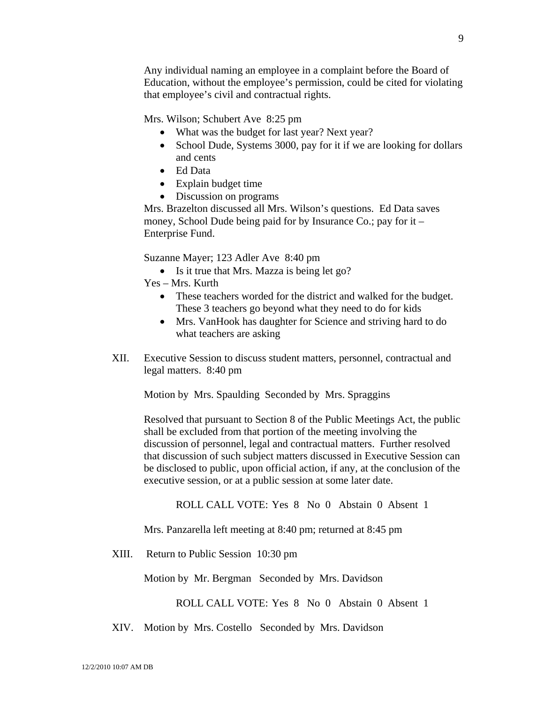Any individual naming an employee in a complaint before the Board of Education, without the employee's permission, could be cited for violating that employee's civil and contractual rights.

Mrs. Wilson; Schubert Ave 8:25 pm

- What was the budget for last year? Next year?
- School Dude, Systems 3000, pay for it if we are looking for dollars and cents
- Ed Data
- Explain budget time
- Discussion on programs

Mrs. Brazelton discussed all Mrs. Wilson's questions. Ed Data saves money, School Dude being paid for by Insurance Co.; pay for it – Enterprise Fund.

Suzanne Mayer; 123 Adler Ave 8:40 pm

- Is it true that Mrs. Mazza is being let go?
- Yes Mrs. Kurth
	- These teachers worded for the district and walked for the budget. These 3 teachers go beyond what they need to do for kids
	- Mrs. VanHook has daughter for Science and striving hard to do what teachers are asking
- XII. Executive Session to discuss student matters, personnel, contractual and legal matters. 8:40 pm

Motion by Mrs. Spaulding Seconded by Mrs. Spraggins

Resolved that pursuant to Section 8 of the Public Meetings Act, the public shall be excluded from that portion of the meeting involving the discussion of personnel, legal and contractual matters. Further resolved that discussion of such subject matters discussed in Executive Session can be disclosed to public, upon official action, if any, at the conclusion of the executive session, or at a public session at some later date.

ROLL CALL VOTE: Yes 8 No 0 Abstain 0 Absent 1

Mrs. Panzarella left meeting at 8:40 pm; returned at 8:45 pm

XIII. Return to Public Session 10:30 pm

Motion by Mr. Bergman Seconded by Mrs. Davidson

ROLL CALL VOTE: Yes 8 No 0 Abstain 0 Absent 1

XIV. Motion by Mrs. Costello Seconded by Mrs. Davidson